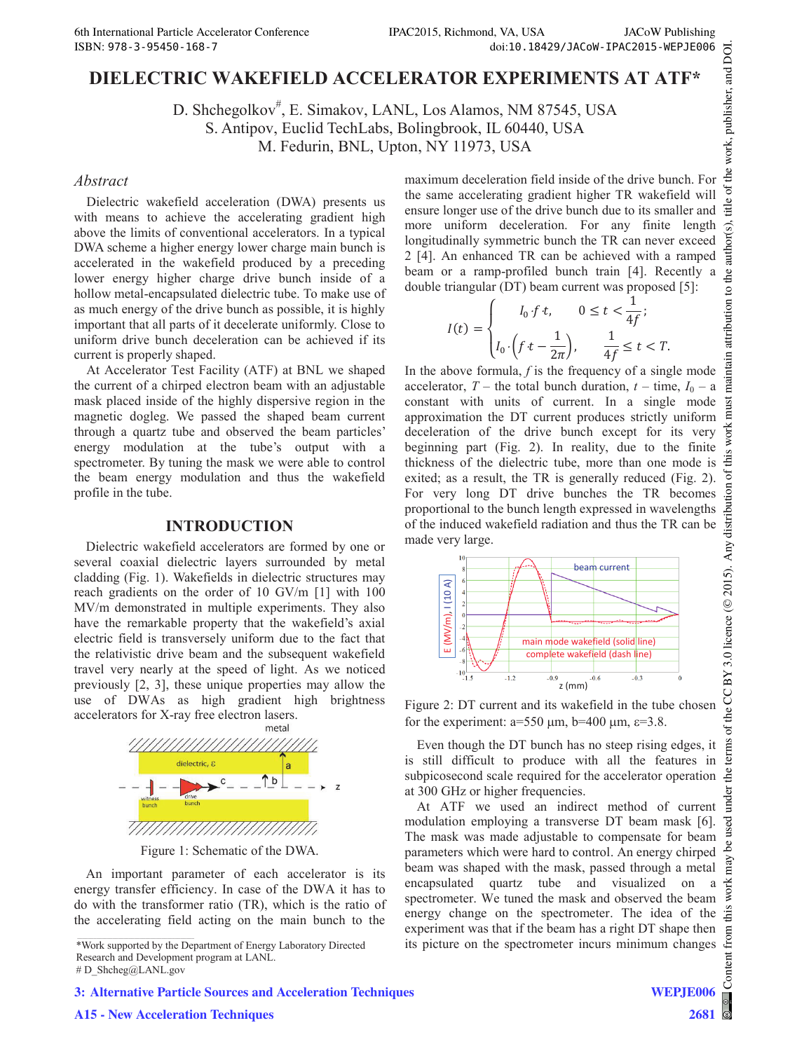# **DIELECTRIC WAKEFIELD ACCELERATOR EXPERIMENTS AT ATF\***

D. Shchegolkov<sup>#</sup>, E. Simakov, LANL, Los Alamos, NM 87545, USA S. Antipov, Euclid TechLabs, Bolingbrook, IL 60440, USA

M. Fedurin, BNL, Upton, NY 11973, USA

#### *Abstract*

Dielectric wakefield acceleration (DWA) presents us with means to achieve the accelerating gradient high above the limits of conventional accelerators. In a typical DWA scheme a higher energy lower charge main bunch is accelerated in the wakefield produced by a preceding lower energy higher charge drive bunch inside of a hollow metal-encapsulated dielectric tube. To make use of as much energy of the drive bunch as possible, it is highly important that all parts of it decelerate uniformly. Close to uniform drive bunch deceleration can be achieved if its current is properly shaped.

At Accelerator Test Facility (ATF) at BNL we shaped the current of a chirped electron beam with an adjustable mask placed inside of the highly dispersive region in the magnetic dogleg. We passed the shaped beam current through a quartz tube and observed the beam particles' energy modulation at the tube's output with a spectrometer. By tuning the mask we were able to control the beam energy modulation and thus the wakefield profile in the tube.

#### **INTRODUCTION**

Dielectric wakefield accelerators are formed by one or several coaxial dielectric layers surrounded by metal cladding (Fig. 1). Wakefields in dielectric structures may reach gradients on the order of 10 GV/m [1] with 100 MV/m demonstrated in multiple experiments. They also have the remarkable property that the wakefield's axial electric field is transversely uniform due to the fact that the relativistic drive beam and the subsequent wakefield travel very nearly at the speed of light. As we noticed previously [2, 3], these unique properties may allow the use of DWAs as high gradient high brightness accelerators for X-ray free electron lasers.



Figure 1: Schematic of the DWA.

An important parameter of each accelerator is its energy transfer efficiency. In case of the DWA it has to do with the transformer ratio (TR), which is the ratio of the accelerating field acting on the main bunch to the

\*Work supported by the Department of Energy Laboratory Directed Research and Development program at LANL.

# D\_Shcheg@LANL.gov

maximum deceleration field inside of the drive bunch. For the same accelerating gradient higher TR wakefield will ensure longer use of the drive bunch due to its smaller and more uniform deceleration. For any finite length longitudinally symmetric bunch the TR can never exceed 2 [4]. An enhanced TR can be achieved with a ramped beam or a ramp-profiled bunch train [4]. Recently a double triangular (DT) beam current was proposed [5]:

$$
I(t) = \begin{cases} l_0 \cdot f \cdot t, & 0 \le t < \frac{1}{4f}; \\ l_0 \cdot \left(f \cdot t - \frac{1}{2\pi}\right), & \frac{1}{4f} \le t < T. \end{cases}
$$

In the above formula,  $f$  is the frequency of a single mode accelerator,  $T$  – the total bunch duration,  $t$  – time,  $I_0$  – a constant with units of current. In a single mode approximation the DT current produces strictly uniform deceleration of the drive bunch except for its very beginning part (Fig. 2). In reality, due to the finite thickness of the dielectric tube, more than one mode is exited; as a result, the TR is generally reduced (Fig. 2). For very long DT drive bunches the TR becomes proportional to the bunch length expressed in wavelengths of the induced wakefield radiation and thus the TR can be made very large.



Figure 2: DT current and its wakefield in the tube chosen for the experiment:  $a=550 \mu m$ ,  $b=400 \mu m$ ,  $\varepsilon=3.8$ .

Even though the DT bunch has no steep rising edges, it is still difficult to produce with all the features in  $\frac{5}{2}$  subpicosecond scale required for the accelerator operation  $\frac{5}{6}$ subpicosecond scale required for the accelerator operation at 300 GHz or higher frequencies.

At ATF we used an indirect method of current modulation employing a transverse DT beam mask [6]. The mask was made adjustable to compensate for beam parameters which were hard to control. An energy chirped beam was shaped with the mask, passed through a metal encapsulated quartz tube and visualized on a spectrometer. We tuned the mask and observed the beam energy change on the spectrometer. The idea of the experiment was that if the beam has a right DT shape then its picture on the spectrometer incurs minimum changes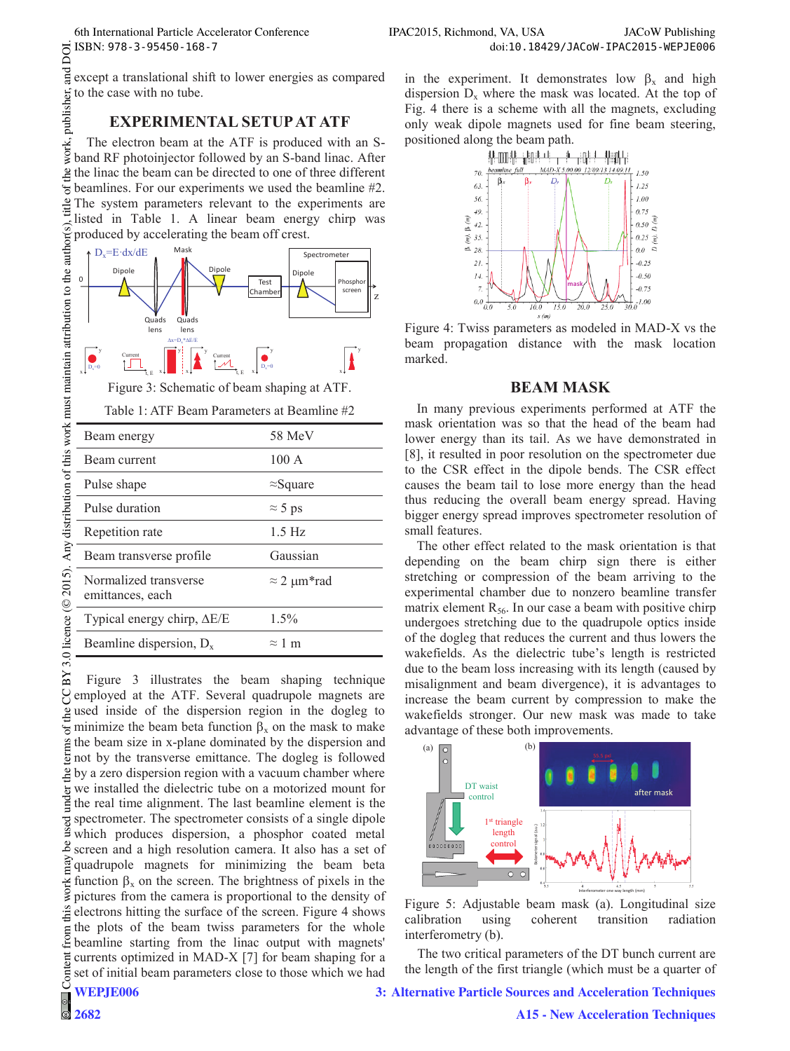## **EXPERIMENTAL SETUP AT ATF**

work, publisher, a The electron beam at the ATF is produced with an Sband RF photoinjector followed by an S-band linac. After  $\frac{1}{2}$  the linac the beam can be directed to one of three different  $\circ$ f tl beamlines. For our experiments we used the beamline #2. title The system parameters relevant to the experiments are listed in Table 1. A linear beam energy chirp was Y 3.0 licence ( $\odot$  2015). Any distribution of this work must maintain attribution to the author(s), produced by accelerating the beam off crest.



Figure 3: Schematic of beam shaping at ATF.

|            | ਨ ISBN: 978-3-95450-168-7 |                                                                                                                                                                                                                                                                                                                                                                                                                                                                      |
|------------|---------------------------|----------------------------------------------------------------------------------------------------------------------------------------------------------------------------------------------------------------------------------------------------------------------------------------------------------------------------------------------------------------------------------------------------------------------------------------------------------------------|
|            |                           | gexcept a translational shift to lower energies as compared                                                                                                                                                                                                                                                                                                                                                                                                          |
|            |                           |                                                                                                                                                                                                                                                                                                                                                                                                                                                                      |
|            |                           | EXPERIMENTAL SETUP AT ATF<br>Fraction beam at the ATF is produced with an S-<br>Shand RF photoinjector followed by an S-band linac. After                                                                                                                                                                                                                                                                                                                            |
|            |                           | g the linac the beam can be directed to one of three different<br>$\frac{1}{6}$ beamlines. For our experiments we used the beamline #2.<br>$\frac{9}{5}$ The system parameters relevant to the experiments are<br>For example the system parameters relevant to the experiments are<br>$\frac{d^2}{dx^2}$ The system parameters relevant to the experiments are<br>$\frac{d^2}{dx^2}$ is listed in Table 1. A linear beam energy chirp was<br>$\frac{d^2}{dx^2}$ pho |
|            |                           |                                                                                                                                                                                                                                                                                                                                                                                                                                                                      |
|            |                           |                                                                                                                                                                                                                                                                                                                                                                                                                                                                      |
|            |                           |                                                                                                                                                                                                                                                                                                                                                                                                                                                                      |
|            |                           |                                                                                                                                                                                                                                                                                                                                                                                                                                                                      |
|            |                           |                                                                                                                                                                                                                                                                                                                                                                                                                                                                      |
|            |                           |                                                                                                                                                                                                                                                                                                                                                                                                                                                                      |
| $^{\circ}$ |                           |                                                                                                                                                                                                                                                                                                                                                                                                                                                                      |

|                | Typical energy chirp, $\Delta E/E$<br>1.5%                                                                                                                                                                                                                                                                                                                                                                                                                                                                                                                                                                                                                                                                                                                                                                                                                                                                                                                                                                                                                                                                    |
|----------------|---------------------------------------------------------------------------------------------------------------------------------------------------------------------------------------------------------------------------------------------------------------------------------------------------------------------------------------------------------------------------------------------------------------------------------------------------------------------------------------------------------------------------------------------------------------------------------------------------------------------------------------------------------------------------------------------------------------------------------------------------------------------------------------------------------------------------------------------------------------------------------------------------------------------------------------------------------------------------------------------------------------------------------------------------------------------------------------------------------------|
|                | Beamline dispersion, $D_x$<br>$\approx 1$ m                                                                                                                                                                                                                                                                                                                                                                                                                                                                                                                                                                                                                                                                                                                                                                                                                                                                                                                                                                                                                                                                   |
|                |                                                                                                                                                                                                                                                                                                                                                                                                                                                                                                                                                                                                                                                                                                                                                                                                                                                                                                                                                                                                                                                                                                               |
| BY 3.0 licence | Figure 3 illustrates the beam shaping technique<br>$\beta$ employed at the ATF. Several quadrupole magnets are<br>gused inside of the dispersion region in the dogleg to<br>$\frac{1}{2}$ minimize the beam beta function $\beta_x$ on the mask to make<br>g the beam size in x-plane dominated by the dispersion and<br>$\frac{1}{2}$ not by the transverse emittance. The dogleg is followed<br>$\frac{9}{2}$ by a zero dispersion region with a vacuum chamber where<br>$\frac{1}{2}$ we installed the dielectric tube on a motorized mount for $\frac{1}{2}$ the real time alignment. The last beamline element is the<br>$\frac{1}{2}$ spectrometer. The spectrometer consists of a single dipole $\frac{2}{3}$ which produces dispersion, a phosphor coated metal<br>screen and a high resolution camera. It also has a set of<br>giquadrupole magnets for minimizing the beam beta<br>$\frac{1}{2}$ function $\beta_x$ on the screen. The brightness of pixels in the<br>ges pictures from the camera is proportional to the density of<br>electrons hitting the surface of the screen. Figure 4 shows |
|                | $\frac{1}{2}$ the plots of the beam twiss parameters for the whole<br>g beamline starting from the linac output with magnets'                                                                                                                                                                                                                                                                                                                                                                                                                                                                                                                                                                                                                                                                                                                                                                                                                                                                                                                                                                                 |
|                | $\frac{1}{6}$ currents optimized in MAD-X [7] for beam shaping for a<br>get of initial beam parameters close to those which we had                                                                                                                                                                                                                                                                                                                                                                                                                                                                                                                                                                                                                                                                                                                                                                                                                                                                                                                                                                            |
| Ő              | T                                                                                                                                                                                                                                                                                                                                                                                                                                                                                                                                                                                                                                                                                                                                                                                                                                                                                                                                                                                                                                                                                                             |

in the experiment. It demonstrates low  $\beta_x$  and high dispersion  $D_x$  where the mask was located. At the top of Fig. 4 there is a scheme with all the magnets, excluding only weak dipole magnets used for fine beam steering, positioned along the beam path.



Figure 4: Twiss parameters as modeled in MAD-X vs the beam propagation distance with the mask location marked.

#### **BEAM MASK**

In many previous experiments performed at ATF the mask orientation was so that the head of the beam had lower energy than its tail. As we have demonstrated in [8], it resulted in poor resolution on the spectrometer due to the CSR effect in the dipole bends. The CSR effect causes the beam tail to lose more energy than the head thus reducing the overall beam energy spread. Having bigger energy spread improves spectrometer resolution of small features.

The other effect related to the mask orientation is that depending on the beam chirp sign there is either stretching or compression of the beam arriving to the experimental chamber due to nonzero beamline transfer matrix element  $R_{56}$ . In our case a beam with positive chirp undergoes stretching due to the quadrupole optics inside of the dogleg that reduces the current and thus lowers the wakefields. As the dielectric tube's length is restricted due to the beam loss increasing with its length (caused by misalignment and beam divergence), it is advantages to increase the beam current by compression to make the wakefields stronger. Our new mask was made to take advantage of these both improvements.



Figure 5: Adjustable beam mask (a). Longitudinal size calibration using coherent transition radiation interferometry (b).

The two critical parameters of the DT bunch current are the length of the first triangle (which must be a quarter of

#### **3: Alternative Particle Sources and Acceleration Techniques**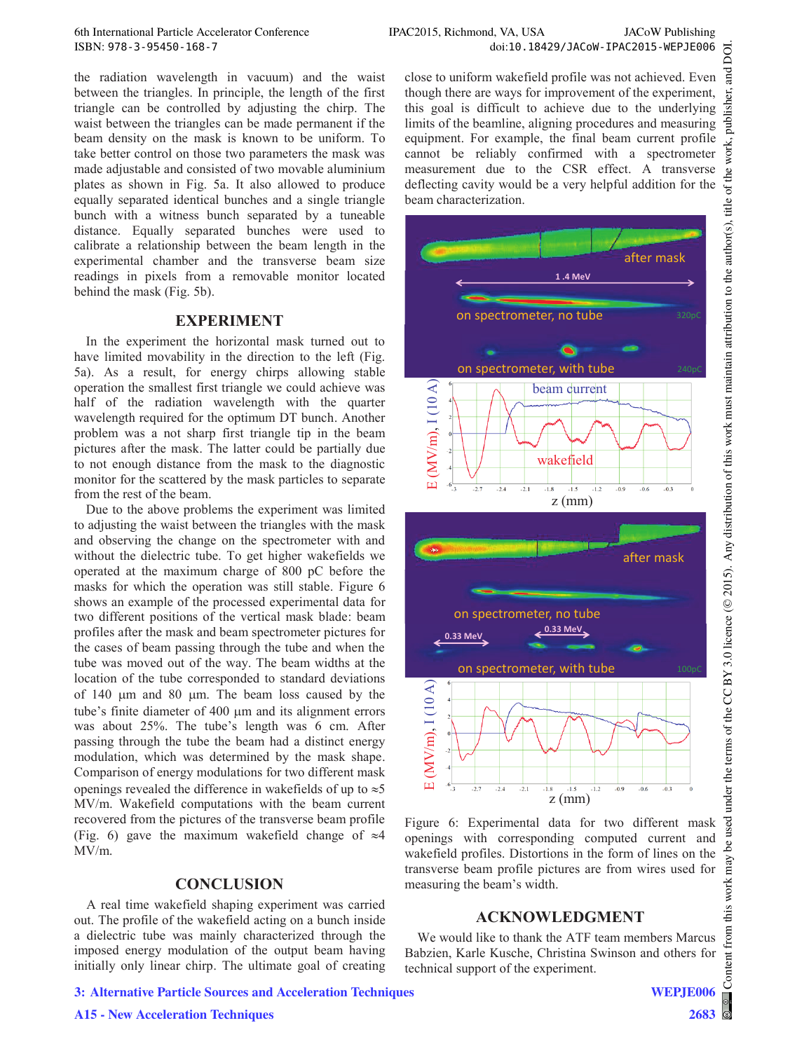the radiation wavelength in vacuum) and the waist between the triangles. In principle, the length of the first triangle can be controlled by adjusting the chirp. The waist between the triangles can be made permanent if the beam density on the mask is known to be uniform. To take better control on those two parameters the mask was made adjustable and consisted of two movable aluminium plates as shown in Fig. 5a. It also allowed to produce equally separated identical bunches and a single triangle bunch with a witness bunch separated by a tuneable distance. Equally separated bunches were used to calibrate a relationship between the beam length in the experimental chamber and the transverse beam size readings in pixels from a removable monitor located behind the mask (Fig. 5b).

### **EXPERIMENT**

In the experiment the horizontal mask turned out to have limited movability in the direction to the left (Fig. 5a). As a result, for energy chirps allowing stable operation the smallest first triangle we could achieve was half of the radiation wavelength with the quarter wavelength required for the optimum DT bunch. Another problem was a not sharp first triangle tip in the beam pictures after the mask. The latter could be partially due to not enough distance from the mask to the diagnostic monitor for the scattered by the mask particles to separate from the rest of the beam.

Due to the above problems the experiment was limited to adjusting the waist between the triangles with the mask and observing the change on the spectrometer with and without the dielectric tube. To get higher wakefields we operated at the maximum charge of 800 pC before the masks for which the operation was still stable. Figure 6 shows an example of the processed experimental data for two different positions of the vertical mask blade: beam profiles after the mask and beam spectrometer pictures for the cases of beam passing through the tube and when the tube was moved out of the way. The beam widths at the location of the tube corresponded to standard deviations of 140  $\mu$ m and 80  $\mu$ m. The beam loss caused by the tube's finite diameter of 400 um and its alignment errors was about 25%. The tube's length was 6 cm. After passing through the tube the beam had a distinct energy modulation, which was determined by the mask shape. Comparison of energy modulations for two different mask openings revealed the difference in wakefields of up to  $\approx$  5 MV/m. Wakefield computations with the beam current recovered from the pictures of the transverse beam profile (Fig. 6) gave the maximum wakefield change of  $\approx$ 4 MV/m.

#### **CONCLUSION**

A real time wakefield shaping experiment was carried out. The profile of the wakefield acting on a bunch inside a dielectric tube was mainly characterized through the imposed energy modulation of the output beam having initially only linear chirp. The ultimate goal of creating

**3: Alternative Particle Sources and Acceleration Techniques**

**A15 - New Acceleration Techniques**

close to uniform wakefield profile was not achieved. Even though there are ways for improvement of the experiment, this goal is difficult to achieve due to the underlying limits of the beamline, aligning procedures and measuring equipment. For example, the final beam current profile cannot be reliably confirmed with a spectrometer measurement due to the CSR effect. A transverse deflecting cavity would be a very helpful addition for the beam characterization.



Figure 6: Experimental data for two different mask openings with corresponding computed current and wakefield profiles. Distortions in the form of lines on the transverse beam profile pictures are from wires used for measuring the beam's width.

## **ACKNOWLEDGMENT**

We would like to thank the ATF team members Marcus Babzien, Karle Kusche, Christina Swinson and others for technical support of the experiment.

this work may

from tent Cont